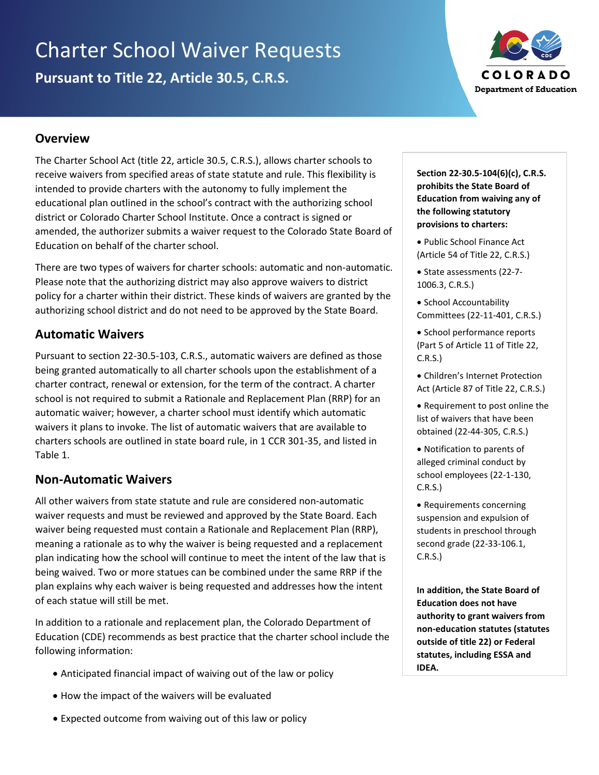# Charter School Waiver Requests **Pursuant to Title 22, Article 30.5, C.R.S.**



#### **Overview**

The Charter School Act (title 22, article 30.5, C.R.S.), allows charter schools to receive waivers from specified areas of state statute and rule. This flexibility is intended to provide charters with the autonomy to fully implement the educational plan outlined in the school's contract with the authorizing school district or Colorado Charter School Institute. Once a contract is signed or amended, the authorizer submits a waiver request to the Colorado State Board of Education on behalf of the charter school.

There are two types of waivers for charter schools: automatic and non-automatic. Please note that the authorizing district may also approve waivers to district policy for a charter within their district. These kinds of waivers are granted by the authorizing school district and do not need to be approved by the State Board.

### **Automatic Waivers**

Pursuant to section 22-30.5-103, C.R.S., automatic waivers are defined as those being granted automatically to all charter schools upon the establishment of a charter contract, renewal or extension, for the term of the contract. A charter school is not required to submit a Rationale and Replacement Plan (RRP) for an automatic waiver; however, a charter school must identify which automatic waivers it plans to invoke. The list of automatic waivers that are available to charters schools are outlined in state board rule, in 1 CCR 301-35, and listed in Table 1.

### **Non-Automatic Waivers**

All other waivers from state statute and rule are considered non-automatic waiver requests and must be reviewed and approved by the State Board. Each waiver being requested must contain a Rationale and Replacement Plan (RRP), meaning a rationale as to why the waiver is being requested and a replacement plan indicating how the school will continue to meet the intent of the law that is being waived. Two or more statues can be combined under the same RRP if the plan explains why each waiver is being requested and addresses how the intent of each statue will still be met.

In addition to a rationale and replacement plan, the Colorado Department of Education (CDE) recommends as best practice that the charter school include the following information:

- Anticipated financial impact of waiving out of the law or policy
- How the impact of the waivers will be evaluated
- Expected outcome from waiving out of this law or policy

**Section 22-30.5-104(6)(c), C.R.S. prohibits the State Board of Education from waiving any of the following statutory provisions to charters:**

- Public School Finance Act (Article 54 of Title 22, C.R.S.)
- State assessments (22-7- 1006.3, C.R.S.)
- School Accountability Committees (22-11-401, C.R.S.)
- School performance reports (Part 5 of Article 11 of Title 22, C.R.S.)
- Children's Internet Protection Act (Article 87 of Title 22, C.R.S.)
- Requirement to post online the list of waivers that have been obtained (22-44-305, C.R.S.)
- Notification to parents of alleged criminal conduct by school employees (22-1-130, C.R.S.)
- Requirements concerning suspension and expulsion of students in preschool through second grade (22-33-106.1, C.R.S.)

**In addition, the State Board of Education does not have authority to grant waivers from non-education statutes (statutes outside of title 22) or Federal statutes, including ESSA and IDEA.**